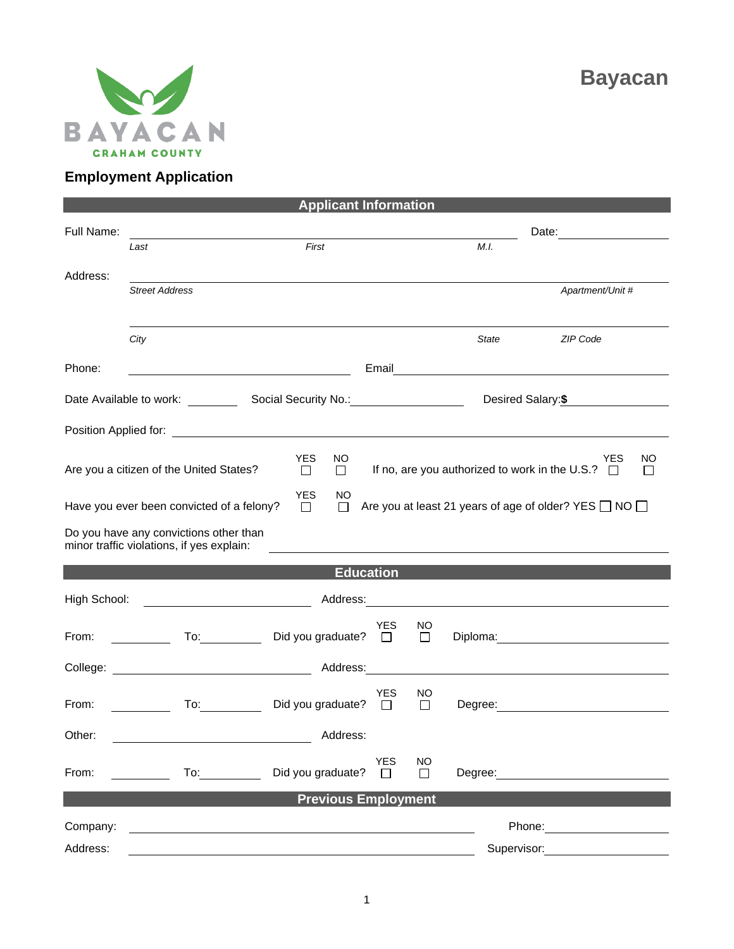

## **Employment Application**

| <b>Applicant Information</b>                                                        |                                                                                                                                                                                                                                      |                          |                                       |                                                                                                                                                                                                                                |                                                                                                                                                                                                                                |  |  |
|-------------------------------------------------------------------------------------|--------------------------------------------------------------------------------------------------------------------------------------------------------------------------------------------------------------------------------------|--------------------------|---------------------------------------|--------------------------------------------------------------------------------------------------------------------------------------------------------------------------------------------------------------------------------|--------------------------------------------------------------------------------------------------------------------------------------------------------------------------------------------------------------------------------|--|--|
| Full Name:                                                                          |                                                                                                                                                                                                                                      |                          |                                       |                                                                                                                                                                                                                                |                                                                                                                                                                                                                                |  |  |
|                                                                                     | Last                                                                                                                                                                                                                                 | First                    |                                       | M.I.                                                                                                                                                                                                                           |                                                                                                                                                                                                                                |  |  |
| Address:                                                                            |                                                                                                                                                                                                                                      |                          |                                       |                                                                                                                                                                                                                                |                                                                                                                                                                                                                                |  |  |
|                                                                                     | <b>Street Address</b>                                                                                                                                                                                                                |                          |                                       |                                                                                                                                                                                                                                | Apartment/Unit #                                                                                                                                                                                                               |  |  |
|                                                                                     |                                                                                                                                                                                                                                      |                          |                                       |                                                                                                                                                                                                                                |                                                                                                                                                                                                                                |  |  |
|                                                                                     | City                                                                                                                                                                                                                                 |                          |                                       | State                                                                                                                                                                                                                          | ZIP Code                                                                                                                                                                                                                       |  |  |
|                                                                                     |                                                                                                                                                                                                                                      |                          |                                       |                                                                                                                                                                                                                                |                                                                                                                                                                                                                                |  |  |
| Phone:                                                                              | <u> 1980 - Johann Barn, mars ann an t-Amhain Aonaich an t-Aonaich an t-Aonaich ann an t-Aonaich ann an t-Aonaich</u>                                                                                                                 |                          |                                       | Email <u>_________________________________</u>                                                                                                                                                                                 |                                                                                                                                                                                                                                |  |  |
| Desired Salary: \$                                                                  |                                                                                                                                                                                                                                      |                          |                                       |                                                                                                                                                                                                                                |                                                                                                                                                                                                                                |  |  |
|                                                                                     |                                                                                                                                                                                                                                      |                          |                                       |                                                                                                                                                                                                                                |                                                                                                                                                                                                                                |  |  |
|                                                                                     |                                                                                                                                                                                                                                      |                          |                                       |                                                                                                                                                                                                                                |                                                                                                                                                                                                                                |  |  |
|                                                                                     | <b>YES</b><br>NO.<br><b>YES</b><br>NO<br>If no, are you authorized to work in the U.S.? $\Box$<br>Are you a citizen of the United States?<br>$\Box$<br>$\Box$<br>$\mathsf{L}$                                                        |                          |                                       |                                                                                                                                                                                                                                |                                                                                                                                                                                                                                |  |  |
|                                                                                     |                                                                                                                                                                                                                                      |                          |                                       |                                                                                                                                                                                                                                |                                                                                                                                                                                                                                |  |  |
| <b>YES</b><br>NO<br>Are you at least 21 years of age of older? YES $\Box$ NO $\Box$ |                                                                                                                                                                                                                                      |                          |                                       |                                                                                                                                                                                                                                |                                                                                                                                                                                                                                |  |  |
| Have you ever been convicted of a felony?<br>$\Box$<br>$\Box$                       |                                                                                                                                                                                                                                      |                          |                                       |                                                                                                                                                                                                                                |                                                                                                                                                                                                                                |  |  |
| Do you have any convictions other than<br>minor traffic violations, if yes explain: |                                                                                                                                                                                                                                      |                          |                                       |                                                                                                                                                                                                                                |                                                                                                                                                                                                                                |  |  |
|                                                                                     |                                                                                                                                                                                                                                      |                          |                                       |                                                                                                                                                                                                                                |                                                                                                                                                                                                                                |  |  |
| <b>Education</b>                                                                    |                                                                                                                                                                                                                                      |                          |                                       |                                                                                                                                                                                                                                |                                                                                                                                                                                                                                |  |  |
| High School:                                                                        |                                                                                                                                                                                                                                      |                          |                                       |                                                                                                                                                                                                                                |                                                                                                                                                                                                                                |  |  |
| From:                                                                               | To: $\qquad \qquad \qquad \qquad$                                                                                                                                                                                                    | Did you graduate?        | <b>YES</b><br>NO.<br>$\Box$<br>$\Box$ |                                                                                                                                                                                                                                |                                                                                                                                                                                                                                |  |  |
|                                                                                     |                                                                                                                                                                                                                                      |                          |                                       |                                                                                                                                                                                                                                | Diploma: <u>_____________________</u>                                                                                                                                                                                          |  |  |
|                                                                                     | College: <u>New York: Address: Address: Address: Address: Address: Address: Address: Address: Address: Address: Address: Address: Address: Address: Address: Address: Address: Address: Address: Address: Address: Address: Addr</u> |                          |                                       |                                                                                                                                                                                                                                |                                                                                                                                                                                                                                |  |  |
|                                                                                     |                                                                                                                                                                                                                                      |                          | <b>YES</b><br>NO.                     |                                                                                                                                                                                                                                |                                                                                                                                                                                                                                |  |  |
| From:                                                                               | To: and the state of the state of the state of the state of the state of the state of the state of the state o                                                                                                                       | Did you graduate? $\Box$ | □                                     |                                                                                                                                                                                                                                | Degree: <u>_________________________</u>                                                                                                                                                                                       |  |  |
| Other:                                                                              |                                                                                                                                                                                                                                      | Address:                 |                                       |                                                                                                                                                                                                                                |                                                                                                                                                                                                                                |  |  |
|                                                                                     |                                                                                                                                                                                                                                      |                          | <b>YES</b><br><b>NO</b>               |                                                                                                                                                                                                                                |                                                                                                                                                                                                                                |  |  |
| From:                                                                               | To: and the state of the state of the state of the state of the state of the state of the state of the state of the state of the state of the state of the state of the state of the state of the state of the state of the st       | Did you graduate?        | $\perp$<br>$\Box$                     | Degree: the contract of the contract of the contract of the contract of the contract of the contract of the contract of the contract of the contract of the contract of the contract of the contract of the contract of the co |                                                                                                                                                                                                                                |  |  |
| <b>Previous Employment</b>                                                          |                                                                                                                                                                                                                                      |                          |                                       |                                                                                                                                                                                                                                |                                                                                                                                                                                                                                |  |  |
| Company:                                                                            |                                                                                                                                                                                                                                      |                          |                                       |                                                                                                                                                                                                                                | Phone: The contract of the contract of the contract of the contract of the contract of the contract of the contract of the contract of the contract of the contract of the contract of the contract of the contract of the con |  |  |
|                                                                                     |                                                                                                                                                                                                                                      |                          |                                       |                                                                                                                                                                                                                                |                                                                                                                                                                                                                                |  |  |
| Address:                                                                            |                                                                                                                                                                                                                                      |                          |                                       | Supervisor:                                                                                                                                                                                                                    |                                                                                                                                                                                                                                |  |  |